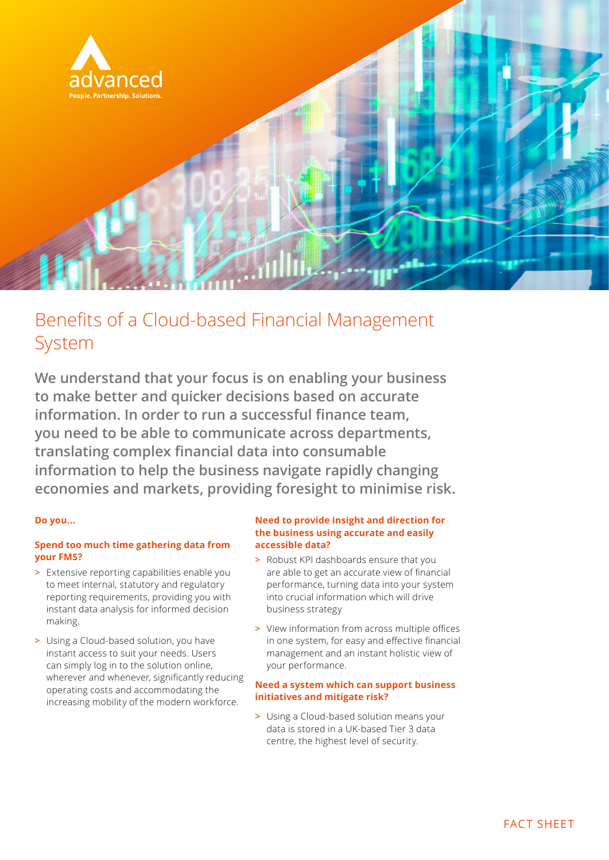

## Benefits of a Cloud-based Financial Management System

**We understand that your focus is on enabling your business to make better and quicker decisions based on accurate information. In order to run a successful finance team, you need to be able to communicate across departments, translating complex financial data into consumable information to help the business navigate rapidly changing economies and markets, providing foresight to minimise risk.**

#### **Do you...**

#### **Spend too much time gathering data from your FMS?**

- **>** Extensive reporting capabilities enable you to meet internal, statutory and regulatory reporting requirements, providing you with instant data analysis for informed decision making.
- **>** Using a Cloud-based solution, you have instant access to suit your needs. Users can simply log in to the solution online, wherever and whenever, significantly reducing operating costs and accommodating the increasing mobility of the modern workforce.

#### **Need to provide insight and direction for the business using accurate and easily accessible data?**

- **>** Robust KPI dashboards ensure that you are able to get an accurate view of financial performance, turning data into your system into crucial information which will drive business strategy
- **>** View information from across multiple offices in one system, for easy and effective financial management and an instant holistic view of your performance.

#### **Need a system which can support business initiatives and mitigate risk?**

**>** Using a Cloud-based solution means your data is stored in a UK-based Tier 3 data centre, the highest level of security.